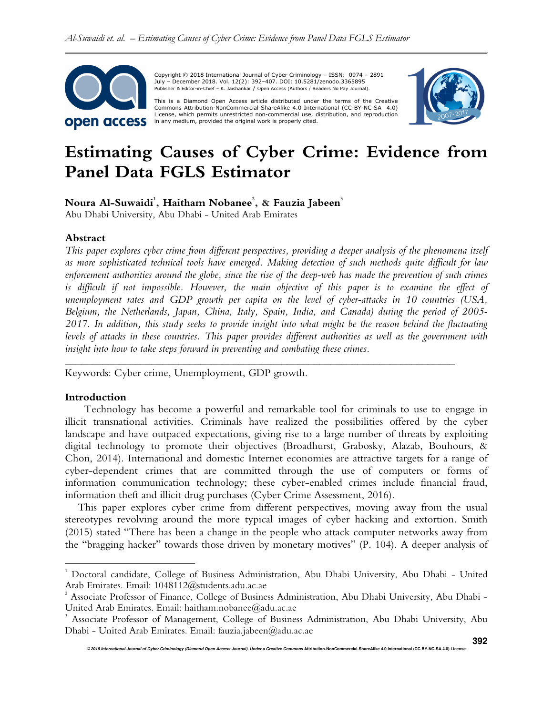

 Copyright © 2018 International Journal of Cyber Criminology – ISSN: 0974 – 2891 July – December 2018. Vol. 12(2): 392–407. DOI: 10.5281/zenodo.3365895 Publisher & Editor-in-Chief – K. Jaishankar / Open Access (Authors / Readers No Pay Journal).

This is a Diamond Open Access article distributed under the terms of the Creative<br>Commons Attribution-NonCommercial-ShareAlike 4.0 International (CC-BY-NC-SA 4.0) License, which permits unrestricted non-commercial use, distribution, and reproduction in any medium, provided the original work is properly cited.



# **Estimating Causes of Cyber Crime: Evidence from Panel Data FGLS Estimator**

**Noura Al-Suwaidi<sup>1</sup> , Haitham Nobanee<sup>2</sup> , & Fauzia Jabeen<sup>3</sup>** 

Abu Dhabi University, Abu Dhabi - United Arab Emirates

### **Abstract**

*This paper explores cyber crime from different perspectives, providing a deeper analysis of the phenomena itself as more sophisticated technical tools have emerged. Making detection of such methods quite difficult for law*  enforcement authorities around the globe, since the rise of the deep-web has made the prevention of such crimes *is difficult if not impossible. However, the main objective of this paper is to examine the effect of unemployment rates and GDP growth per capita on the level of cyber-attacks in 10 countries (USA, Belgium, the Netherlands, Japan, China, Italy, Spain, India, and Canada) during the period of 2005- 2017. In addition, this study seeks to provide insight into what might be the reason behind the fluctuating levels of attacks in these countries. This paper provides different authorities as well as the government with insight into how to take steps forward in preventing and combating these crimes.* 

*\_\_\_\_\_\_\_\_\_\_\_\_\_\_\_\_\_\_\_\_\_\_\_\_\_\_\_\_\_\_\_\_\_\_\_\_\_\_\_\_\_\_\_\_\_\_\_\_\_\_\_\_\_\_\_\_\_\_\_\_\_\_\_\_\_\_\_\_\_\_\_\_* 

Keywords: Cyber crime, Unemployment, GDP growth.

### **Introduction**

 $\overline{a}$ 

Technology has become a powerful and remarkable tool for criminals to use to engage in illicit transnational activities. Criminals have realized the possibilities offered by the cyber landscape and have outpaced expectations, giving rise to a large number of threats by exploiting digital technology to promote their objectives (Broadhurst, Grabosky, Alazab, Bouhours, & Chon, 2014). International and domestic Internet economies are attractive targets for a range of cyber-dependent crimes that are committed through the use of computers or forms of information communication technology; these cyber-enabled crimes include financial fraud, information theft and illicit drug purchases (Cyber Crime Assessment, 2016).

This paper explores cyber crime from different perspectives, moving away from the usual stereotypes revolving around the more typical images of cyber hacking and extortion. Smith (2015) stated "There has been a change in the people who attack computer networks away from the "bragging hacker" towards those driven by monetary motives" (P. 104). A deeper analysis of

<sup>1</sup> Doctoral candidate, College of Business Administration, Abu Dhabi University, Abu Dhabi - United Arab Emirates. Email: 1048112@students.adu.ac.ae

 $^2$  Associate Professor of Finance, College of Business Administration, Abu Dhabi University, Abu Dhabi -United Arab Emirates. Email: haitham.nobanee@adu.ac.ae

<sup>3</sup> Associate Professor of Management, College of Business Administration, Abu Dhabi University, Abu Dhabi - United Arab Emirates. Email: fauzia.jabeen@adu.ac.ae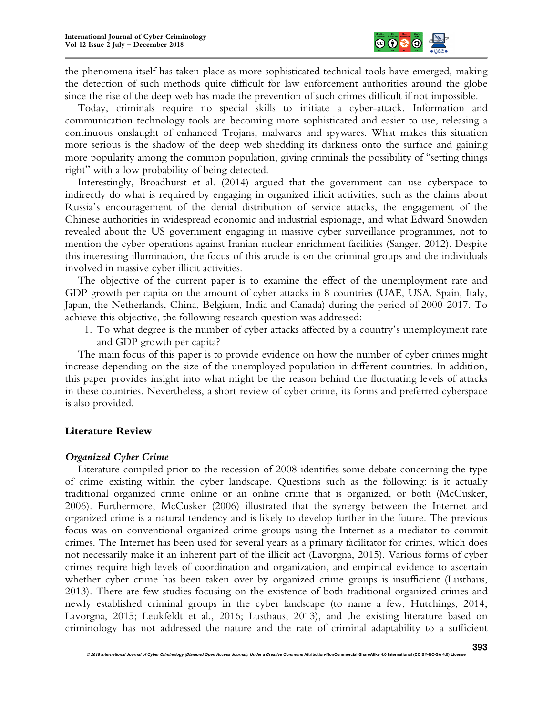

the phenomena itself has taken place as more sophisticated technical tools have emerged, making the detection of such methods quite difficult for law enforcement authorities around the globe since the rise of the deep web has made the prevention of such crimes difficult if not impossible.

Today, criminals require no special skills to initiate a cyber-attack. Information and communication technology tools are becoming more sophisticated and easier to use, releasing a continuous onslaught of enhanced Trojans, malwares and spywares. What makes this situation more serious is the shadow of the deep web shedding its darkness onto the surface and gaining more popularity among the common population, giving criminals the possibility of "setting things right" with a low probability of being detected.

Interestingly, Broadhurst et al. (2014) argued that the government can use cyberspace to indirectly do what is required by engaging in organized illicit activities, such as the claims about Russia's encouragement of the denial distribution of service attacks, the engagement of the Chinese authorities in widespread economic and industrial espionage, and what Edward Snowden revealed about the US government engaging in massive cyber surveillance programmes, not to mention the cyber operations against Iranian nuclear enrichment facilities (Sanger, 2012). Despite this interesting illumination, the focus of this article is on the criminal groups and the individuals involved in massive cyber illicit activities.

The objective of the current paper is to examine the effect of the unemployment rate and GDP growth per capita on the amount of cyber attacks in 8 countries (UAE, USA, Spain, Italy, Japan, the Netherlands, China, Belgium, India and Canada) during the period of 2000-2017. To achieve this objective, the following research question was addressed:

1. To what degree is the number of cyber attacks affected by a country's unemployment rate and GDP growth per capita?

The main focus of this paper is to provide evidence on how the number of cyber crimes might increase depending on the size of the unemployed population in different countries. In addition, this paper provides insight into what might be the reason behind the fluctuating levels of attacks in these countries. Nevertheless, a short review of cyber crime, its forms and preferred cyberspace is also provided.

# **Literature Review**

### *Organized Cyber Crime*

Literature compiled prior to the recession of 2008 identifies some debate concerning the type of crime existing within the cyber landscape. Questions such as the following: is it actually traditional organized crime online or an online crime that is organized, or both (McCusker, 2006). Furthermore, McCusker (2006) illustrated that the synergy between the Internet and organized crime is a natural tendency and is likely to develop further in the future. The previous focus was on conventional organized crime groups using the Internet as a mediator to commit crimes. The Internet has been used for several years as a primary facilitator for crimes, which does not necessarily make it an inherent part of the illicit act (Lavorgna, 2015). Various forms of cyber crimes require high levels of coordination and organization, and empirical evidence to ascertain whether cyber crime has been taken over by organized crime groups is insufficient (Lusthaus, 2013). There are few studies focusing on the existence of both traditional organized crimes and newly established criminal groups in the cyber landscape (to name a few, Hutchings, 2014; Lavorgna, 2015; Leukfeldt et al., 2016; Lusthaus, 2013), and the existing literature based on criminology has not addressed the nature and the rate of criminal adaptability to a sufficient

**© 2018 International Journal of Cyber Criminology (Diamond Open Access Journal). Under a Creative Commons Attribution-NonCommercial-ShareAlike 4.0 International (CC BY-NC-SA 4.0) License**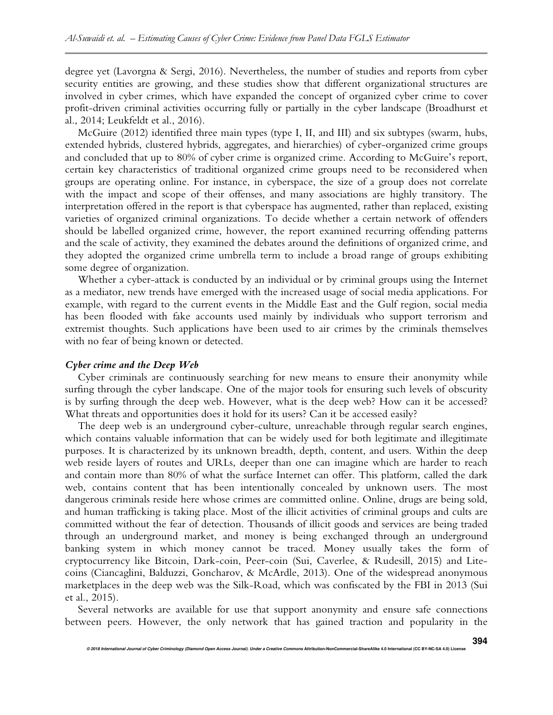degree yet (Lavorgna & Sergi, 2016). Nevertheless, the number of studies and reports from cyber security entities are growing, and these studies show that different organizational structures are involved in cyber crimes, which have expanded the concept of organized cyber crime to cover profit-driven criminal activities occurring fully or partially in the cyber landscape (Broadhurst et al., 2014; Leukfeldt et al., 2016).

McGuire (2012) identified three main types (type I, II, and III) and six subtypes (swarm, hubs, extended hybrids, clustered hybrids, aggregates, and hierarchies) of cyber-organized crime groups and concluded that up to 80% of cyber crime is organized crime. According to McGuire's report, certain key characteristics of traditional organized crime groups need to be reconsidered when groups are operating online. For instance, in cyberspace, the size of a group does not correlate with the impact and scope of their offenses, and many associations are highly transitory. The interpretation offered in the report is that cyberspace has augmented, rather than replaced, existing varieties of organized criminal organizations. To decide whether a certain network of offenders should be labelled organized crime, however, the report examined recurring offending patterns and the scale of activity, they examined the debates around the definitions of organized crime, and they adopted the organized crime umbrella term to include a broad range of groups exhibiting some degree of organization.

Whether a cyber-attack is conducted by an individual or by criminal groups using the Internet as a mediator, new trends have emerged with the increased usage of social media applications. For example, with regard to the current events in the Middle East and the Gulf region, social media has been flooded with fake accounts used mainly by individuals who support terrorism and extremist thoughts. Such applications have been used to air crimes by the criminals themselves with no fear of being known or detected.

### *Cyber crime and the Deep Web*

Cyber criminals are continuously searching for new means to ensure their anonymity while surfing through the cyber landscape. One of the major tools for ensuring such levels of obscurity is by surfing through the deep web. However, what is the deep web? How can it be accessed? What threats and opportunities does it hold for its users? Can it be accessed easily?

The deep web is an underground cyber-culture, unreachable through regular search engines, which contains valuable information that can be widely used for both legitimate and illegitimate purposes. It is characterized by its unknown breadth, depth, content, and users. Within the deep web reside layers of routes and URLs, deeper than one can imagine which are harder to reach and contain more than 80% of what the surface Internet can offer. This platform, called the dark web, contains content that has been intentionally concealed by unknown users. The most dangerous criminals reside here whose crimes are committed online. Online, drugs are being sold, and human trafficking is taking place. Most of the illicit activities of criminal groups and cults are committed without the fear of detection. Thousands of illicit goods and services are being traded through an underground market, and money is being exchanged through an underground banking system in which money cannot be traced. Money usually takes the form of cryptocurrency like Bitcoin, Dark-coin, Peer-coin (Sui, Caverlee, & Rudesill, 2015) and Litecoins (Ciancaglini, Balduzzi, Goncharov, & McArdle, 2013). One of the widespread anonymous marketplaces in the deep web was the Silk-Road, which was confiscated by the FBI in 2013 (Sui et al., 2015).

Several networks are available for use that support anonymity and ensure safe connections between peers. However, the only network that has gained traction and popularity in the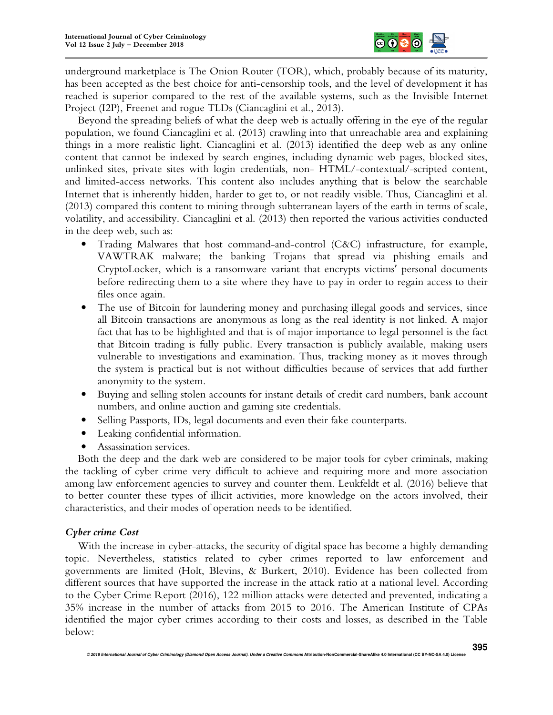

underground marketplace is The Onion Router (TOR), which, probably because of its maturity, has been accepted as the best choice for anti-censorship tools, and the level of development it has reached is superior compared to the rest of the available systems, such as the Invisible Internet Project (I2P), Freenet and rogue TLDs (Ciancaglini et al., 2013).

Beyond the spreading beliefs of what the deep web is actually offering in the eye of the regular population, we found Ciancaglini et al. (2013) crawling into that unreachable area and explaining things in a more realistic light. Ciancaglini et al. (2013) identified the deep web as any online content that cannot be indexed by search engines, including dynamic web pages, blocked sites, unlinked sites, private sites with login credentials, non- HTML/-contextual/-scripted content, and limited-access networks. This content also includes anything that is below the searchable Internet that is inherently hidden, harder to get to, or not readily visible. Thus, Ciancaglini et al. (2013) compared this content to mining through subterranean layers of the earth in terms of scale, volatility, and accessibility. Ciancaglini et al. (2013) then reported the various activities conducted in the deep web, such as:

- Trading Malwares that host command-and-control (C&C) infrastructure, for example, VAWTRAK malware; the banking Trojans that spread via phishing emails and CryptoLocker, which is a ransomware variant that encrypts victims' personal documents before redirecting them to a site where they have to pay in order to regain access to their files once again.
- The use of Bitcoin for laundering money and purchasing illegal goods and services, since all Bitcoin transactions are anonymous as long as the real identity is not linked. A major fact that has to be highlighted and that is of major importance to legal personnel is the fact that Bitcoin trading is fully public. Every transaction is publicly available, making users vulnerable to investigations and examination. Thus, tracking money as it moves through the system is practical but is not without difficulties because of services that add further anonymity to the system.
- Buying and selling stolen accounts for instant details of credit card numbers, bank account numbers, and online auction and gaming site credentials.
- Selling Passports, IDs, legal documents and even their fake counterparts.
- Leaking confidential information.
- Assassination services.

Both the deep and the dark web are considered to be major tools for cyber criminals, making the tackling of cyber crime very difficult to achieve and requiring more and more association among law enforcement agencies to survey and counter them. Leukfeldt et al. (2016) believe that to better counter these types of illicit activities, more knowledge on the actors involved, their characteristics, and their modes of operation needs to be identified.

# *Cyber crime Cost*

With the increase in cyber-attacks, the security of digital space has become a highly demanding topic. Nevertheless, statistics related to cyber crimes reported to law enforcement and governments are limited (Holt, Blevins, & Burkert, 2010). Evidence has been collected from different sources that have supported the increase in the attack ratio at a national level. According to the Cyber Crime Report (2016), 122 million attacks were detected and prevented, indicating a 35% increase in the number of attacks from 2015 to 2016. The American Institute of CPAs identified the major cyber crimes according to their costs and losses, as described in the Table below: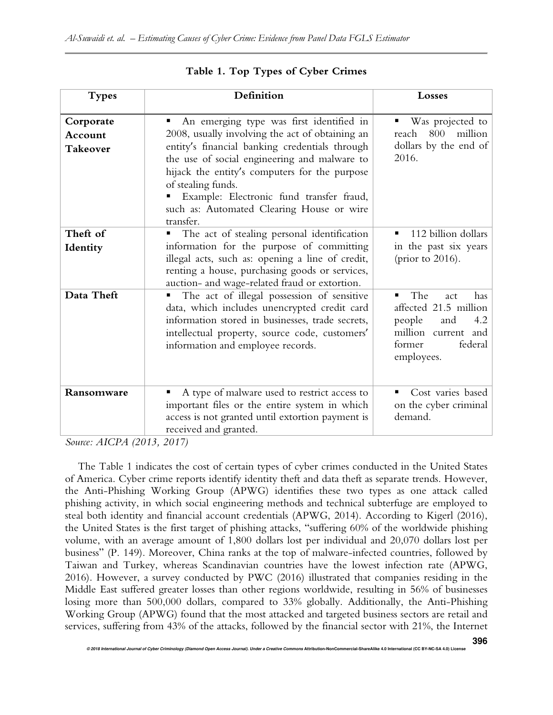| <b>Types</b>                            | Definition                                                                                                                                                                                                                                                                                                                                                                 | Losses                                                                                                                        |
|-----------------------------------------|----------------------------------------------------------------------------------------------------------------------------------------------------------------------------------------------------------------------------------------------------------------------------------------------------------------------------------------------------------------------------|-------------------------------------------------------------------------------------------------------------------------------|
| Corporate<br>Account<br><b>Takeover</b> | An emerging type was first identified in<br>2008, usually involving the act of obtaining an<br>entity's financial banking credentials through<br>the use of social engineering and malware to<br>hijack the entity's computers for the purpose<br>of stealing funds.<br>Example: Electronic fund transfer fraud,<br>such as: Automated Clearing House or wire<br>transfer. | Was projected to<br>п,<br>million<br>800<br>reach<br>dollars by the end of<br>2016.                                           |
| Theft of<br>Identity                    | The act of stealing personal identification<br>information for the purpose of committing<br>illegal acts, such as: opening a line of credit,<br>renting a house, purchasing goods or services,<br>auction- and wage-related fraud or extortion.                                                                                                                            | 112 billion dollars<br>٠<br>in the past six years<br>(prior to $2016$ ).                                                      |
| Data Theft                              | The act of illegal possession of sensitive<br>data, which includes unencrypted credit card<br>information stored in businesses, trade secrets,<br>intellectual property, source code, customers'<br>information and employee records.                                                                                                                                      | The<br>has.<br>act<br>affected 21.5 million<br>people<br>and<br>4.2<br>million current and<br>federal<br>former<br>employees. |
| Ransomware                              | A type of malware used to restrict access to<br>important files or the entire system in which<br>access is not granted until extortion payment is<br>received and granted.                                                                                                                                                                                                 | Cost varies based<br>on the cyber criminal<br>demand.                                                                         |

# **Table 1. Top Types of Cyber Crimes**

*Source: AICPA (2013, 2017)* 

The Table 1 indicates the cost of certain types of cyber crimes conducted in the United States of America. Cyber crime reports identify identity theft and data theft as separate trends. However, the Anti-Phishing Working Group (APWG) identifies these two types as one attack called phishing activity, in which social engineering methods and technical subterfuge are employed to steal both identity and financial account credentials (APWG, 2014). According to Kigerl (2016), the United States is the first target of phishing attacks, "suffering 60% of the worldwide phishing volume, with an average amount of 1,800 dollars lost per individual and 20,070 dollars lost per business" (P. 149). Moreover, China ranks at the top of malware-infected countries, followed by Taiwan and Turkey, whereas Scandinavian countries have the lowest infection rate (APWG, 2016). However, a survey conducted by PWC (2016) illustrated that companies residing in the Middle East suffered greater losses than other regions worldwide, resulting in 56% of businesses losing more than 500,000 dollars, compared to 33% globally. Additionally, the Anti-Phishing Working Group (APWG) found that the most attacked and targeted business sectors are retail and services, suffering from 43% of the attacks, followed by the financial sector with 21%, the Internet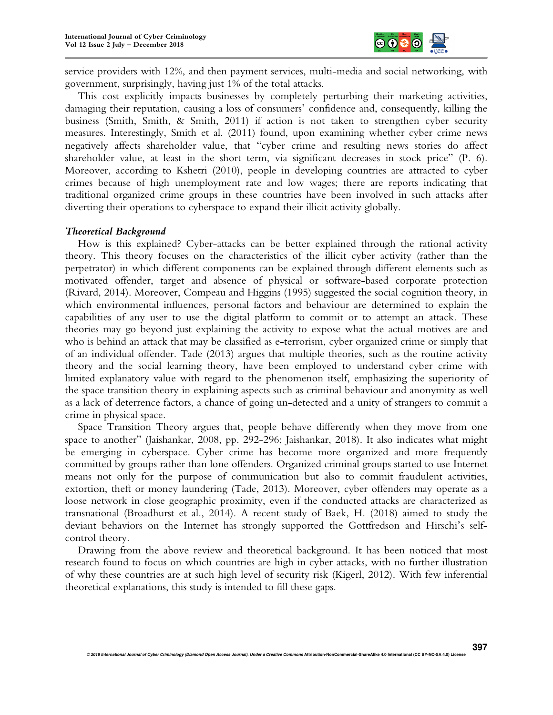

service providers with 12%, and then payment services, multi-media and social networking, with government, surprisingly, having just 1% of the total attacks.

This cost explicitly impacts businesses by completely perturbing their marketing activities, damaging their reputation, causing a loss of consumers' confidence and, consequently, killing the business (Smith, Smith, & Smith, 2011) if action is not taken to strengthen cyber security measures. Interestingly, Smith et al. (2011) found, upon examining whether cyber crime news negatively affects shareholder value, that "cyber crime and resulting news stories do affect shareholder value, at least in the short term, via significant decreases in stock price" (P. 6). Moreover, according to Kshetri (2010), people in developing countries are attracted to cyber crimes because of high unemployment rate and low wages; there are reports indicating that traditional organized crime groups in these countries have been involved in such attacks after diverting their operations to cyberspace to expand their illicit activity globally.

### *Theoretical Background*

How is this explained? Cyber-attacks can be better explained through the rational activity theory. This theory focuses on the characteristics of the illicit cyber activity (rather than the perpetrator) in which different components can be explained through different elements such as motivated offender, target and absence of physical or software-based corporate protection (Rivard, 2014). Moreover, Compeau and Higgins (1995) suggested the social cognition theory, in which environmental influences, personal factors and behaviour are determined to explain the capabilities of any user to use the digital platform to commit or to attempt an attack. These theories may go beyond just explaining the activity to expose what the actual motives are and who is behind an attack that may be classified as e-terrorism, cyber organized crime or simply that of an individual offender. Tade (2013) argues that multiple theories, such as the routine activity theory and the social learning theory, have been employed to understand cyber crime with limited explanatory value with regard to the phenomenon itself, emphasizing the superiority of the space transition theory in explaining aspects such as criminal behaviour and anonymity as well as a lack of deterrence factors, a chance of going un-detected and a unity of strangers to commit a crime in physical space.

Space Transition Theory argues that, people behave differently when they move from one space to another" (Jaishankar, 2008, pp. 292-296; Jaishankar, 2018). It also indicates what might be emerging in cyberspace. Cyber crime has become more organized and more frequently committed by groups rather than lone offenders. Organized criminal groups started to use Internet means not only for the purpose of communication but also to commit fraudulent activities, extortion, theft or money laundering (Tade, 2013). Moreover, cyber offenders may operate as a loose network in close geographic proximity, even if the conducted attacks are characterized as transnational (Broadhurst et al., 2014). A recent study of Baek, H. (2018) aimed to study the deviant behaviors on the Internet has strongly supported the Gottfredson and Hirschi's selfcontrol theory.

Drawing from the above review and theoretical background. It has been noticed that most research found to focus on which countries are high in cyber attacks, with no further illustration of why these countries are at such high level of security risk (Kigerl, 2012). With few inferential theoretical explanations, this study is intended to fill these gaps.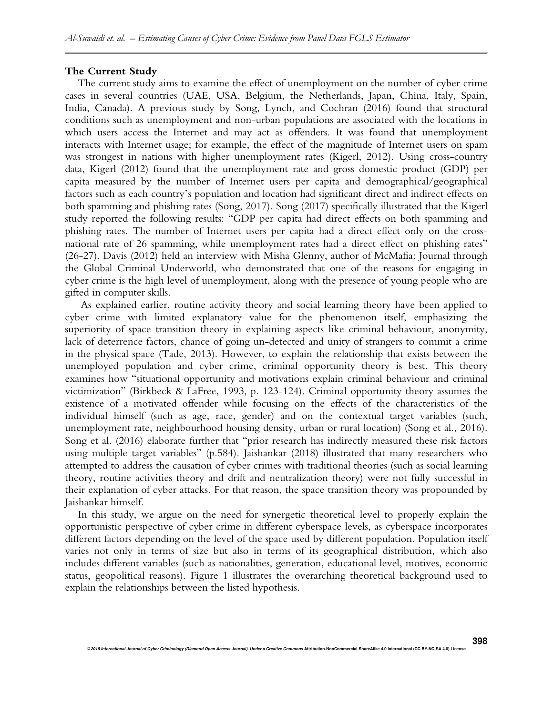### **The Current Study**

The current study aims to examine the effect of unemployment on the number of cyber crime cases in several countries (UAE, USA, Belgium, the Netherlands, Japan, China, Italy, Spain, India, Canada). A previous study by Song, Lynch, and Cochran (2016) found that structural conditions such as unemployment and non-urban populations are associated with the locations in which users access the Internet and may act as offenders. It was found that unemployment interacts with Internet usage; for example, the effect of the magnitude of Internet users on spam was strongest in nations with higher unemployment rates (Kigerl, 2012). Using cross-country data, Kigerl (2012) found that the unemployment rate and gross domestic product (GDP) per capita measured by the number of Internet users per capita and demographical/geographical factors such as each country's population and location had significant direct and indirect effects on both spamming and phishing rates (Song, 2017). Song (2017) specifically illustrated that the Kigerl study reported the following results: "GDP per capita had direct effects on both spamming and phishing rates. The number of Internet users per capita had a direct effect only on the crossnational rate of 26 spamming, while unemployment rates had a direct effect on phishing rates" (26-27). Davis (2012) held an interview with Misha Glenny, author of McMafia: Journal through the Global Criminal Underworld, who demonstrated that one of the reasons for engaging in cyber crime is the high level of unemployment, along with the presence of young people who are gifted in computer skills.

 As explained earlier, routine activity theory and social learning theory have been applied to cyber crime with limited explanatory value for the phenomenon itself, emphasizing the superiority of space transition theory in explaining aspects like criminal behaviour, anonymity, lack of deterrence factors, chance of going un-detected and unity of strangers to commit a crime in the physical space (Tade, 2013). However, to explain the relationship that exists between the unemployed population and cyber crime, criminal opportunity theory is best. This theory examines how "situational opportunity and motivations explain criminal behaviour and criminal victimization" (Birkbeck & LaFree, 1993, p. 123-124). Criminal opportunity theory assumes the existence of a motivated offender while focusing on the effects of the characteristics of the individual himself (such as age, race, gender) and on the contextual target variables (such, unemployment rate, neighbourhood housing density, urban or rural location) (Song et al., 2016). Song et al. (2016) elaborate further that "prior research has indirectly measured these risk factors using multiple target variables" (p.584). Jaishankar (2018) illustrated that many researchers who attempted to address the causation of cyber crimes with traditional theories (such as social learning theory, routine activities theory and drift and neutralization theory) were not fully successful in their explanation of cyber attacks. For that reason, the space transition theory was propounded by Jaishankar himself.

In this study, we argue on the need for synergetic theoretical level to properly explain the opportunistic perspective of cyber crime in different cyberspace levels, as cyberspace incorporates different factors depending on the level of the space used by different population. Population itself varies not only in terms of size but also in terms of its geographical distribution, which also includes different variables (such as nationalities, generation, educational level, motives, economic status, geopolitical reasons). Figure 1 illustrates the overarching theoretical background used to explain the relationships between the listed hypothesis.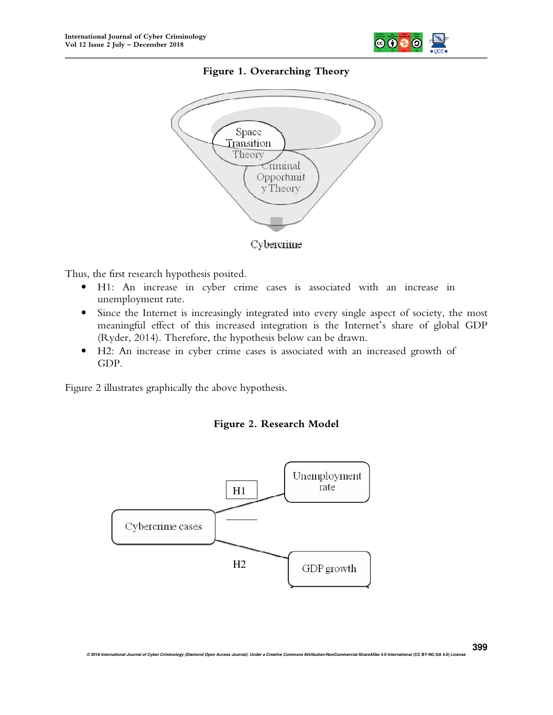

# **Figure 1. Overarching Theory**



# Cybercrime

Thus, the first research hypothesis posited.

- H1: An increase in cyber crime cases is associated with an increase in unemployment rate.
- Since the Internet is increasingly integrated into every single aspect of society, the most meaningful effect of this increased integration is the Internet's share of global GDP (Ryder, 2014). Therefore, the hypothesis below can be drawn.
- H2: An increase in cyber crime cases is associated with an increased growth of GDP.

Figure 2 illustrates graphically the above hypothesis.



**© 2018 International Journal of Cyber Criminology (Diamond Open Access Journal). Under a Creative Commons Attribution-NonCommercial-ShareAlike 4.0 International (CC BY-NC-SA 4.0) License** 

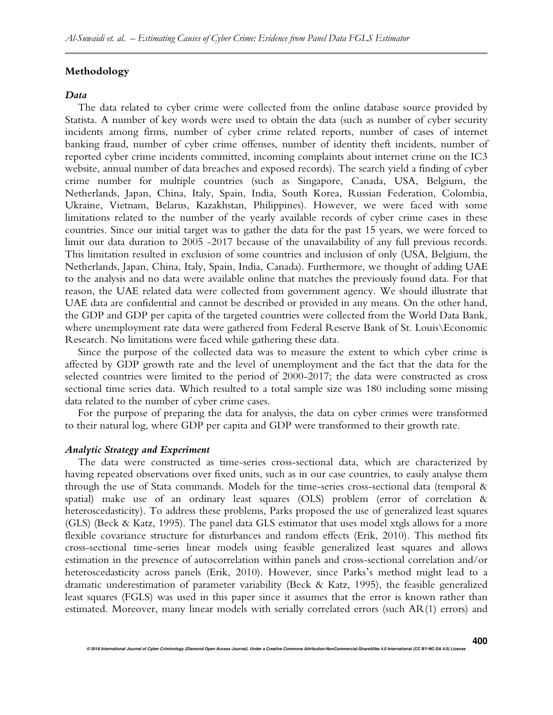### **Methodology**

#### *Data*

The data related to cyber crime were collected from the online database source provided by Statista. A number of key words were used to obtain the data (such as number of cyber security incidents among firms, number of cyber crime related reports, number of cases of internet banking fraud, number of cyber crime offenses, number of identity theft incidents, number of reported cyber crime incidents committed, incoming complaints about internet crime on the IC3 website, annual number of data breaches and exposed records). The search yield a finding of cyber crime number for multiple countries (such as Singapore, Canada, USA, Belgium, the Netherlands, Japan, China, Italy, Spain, India, South Korea, Russian Federation, Colombia, Ukraine, Vietnam, Belarus, Kazakhstan, Philippines). However, we were faced with some limitations related to the number of the yearly available records of cyber crime cases in these countries. Since our initial target was to gather the data for the past 15 years, we were forced to limit our data duration to 2005 -2017 because of the unavailability of any full previous records. This limitation resulted in exclusion of some countries and inclusion of only (USA, Belgium, the Netherlands, Japan, China, Italy, Spain, India, Canada). Furthermore, we thought of adding UAE to the analysis and no data were available online that matches the previously found data. For that reason, the UAE related data were collected from government agency. We should illustrate that UAE data are confidential and cannot be described or provided in any means. On the other hand, the GDP and GDP per capita of the targeted countries were collected from the World Data Bank, where unemployment rate data were gathered from Federal Reserve Bank of St. Louis\Economic Research. No limitations were faced while gathering these data.

Since the purpose of the collected data was to measure the extent to which cyber crime is affected by GDP growth rate and the level of unemployment and the fact that the data for the selected countries were limited to the period of 2000-2017; the data were constructed as cross sectional time series data. Which resulted to a total sample size was 180 including some missing data related to the number of cyber crime cases.

For the purpose of preparing the data for analysis, the data on cyber crimes were transformed to their natural log, where GDP per capita and GDP were transformed to their growth rate.

### *Analytic Strategy and Experiment*

The data were constructed as time-series cross-sectional data, which are characterized by having repeated observations over fixed units, such as in our case countries, to easily analyse them through the use of Stata commands. Models for the time-series cross-sectional data (temporal & spatial) make use of an ordinary least squares (OLS) problem (error of correlation & heteroscedasticity). To address these problems, Parks proposed the use of generalized least squares (GLS) (Beck & Katz, 1995). The panel data GLS estimator that uses model xtgls allows for a more flexible covariance structure for disturbances and random effects (Erik, 2010). This method fits cross-sectional time-series linear models using feasible generalized least squares and allows estimation in the presence of autocorrelation within panels and cross-sectional correlation and/or heteroscedasticity across panels (Erik, 2010). However, since Parks's method might lead to a dramatic underestimation of parameter variability (Beck & Katz, 1995), the feasible generalized least squares (FGLS) was used in this paper since it assumes that the error is known rather than estimated. Moreover, many linear models with serially correlated errors (such AR(1) errors) and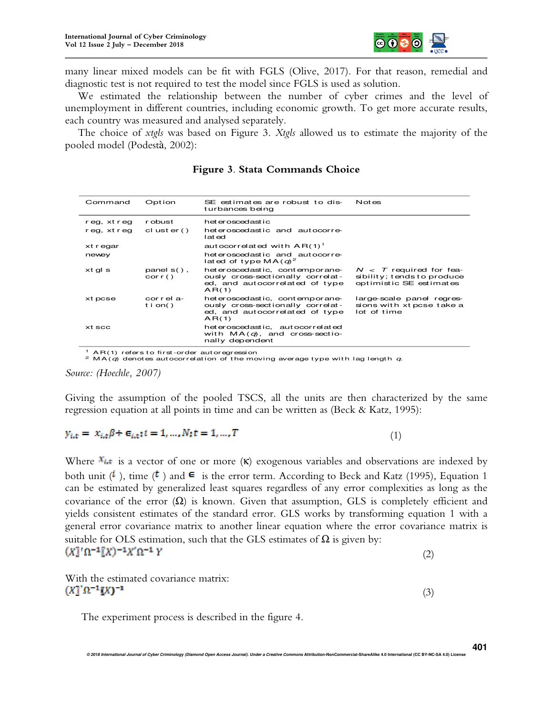

many linear mixed models can be fit with FGLS (Olive, 2017). For that reason, remedial and diagnostic test is not required to test the model since FGLS is used as solution.

We estimated the relationship between the number of cyber crimes and the level of unemployment in different countries, including economic growth. To get more accurate results, each country was measured and analysed separately.

The choice of *xtgls* was based on Figure 3. *Xtgls* allowed us to estimate the majority of the pooled model (Podestà, 2002):

| Command    | Option                   | SE estimates are robust to dis-<br>turbances being                                                              | <b>Notes</b>                                                                       |
|------------|--------------------------|-----------------------------------------------------------------------------------------------------------------|------------------------------------------------------------------------------------|
| reg, xtreg | r obust                  | heteroscedastic                                                                                                 |                                                                                    |
| reg, xtreg | cluster()                | heteroscedastic and autocorre-<br>lat ed                                                                        |                                                                                    |
| xt r egar  |                          | autocorrelated with $AR(1)^1$                                                                                   |                                                                                    |
| newey      |                          | heteroscedastic and autocorre-<br>lated of type $MA(a)^2$                                                       |                                                                                    |
| xt gl s    | panel $s()$ ,<br>corr()  | het eroscedastic, contemporane-<br>ously cross-sectionally correlat-<br>ed, and autocorrelated of type<br>AR(1) | $N < T$ required for fea-<br>sibility; tends to produce<br>optimistic SE estimates |
| xt pcse    | correl a-<br>t i on $()$ | het eroscedastic, contemporane-<br>ously cross-sectionally correlat-<br>ed, and autocorrelated of type<br>AR(1) | large-scale panel regres-<br>sions with xt pcse take a<br>lot of time              |
| xt scc     |                          | heteroscedastic, autocorrelated<br>with $MA(q)$ , and cross-sectio-<br>nally dependent                          |                                                                                    |

**Figure 3**. **Stata Commands Choice**

AR(1) refers to first-order autoregression

<sup>2</sup> MA( $q$ ) denotes autocorrelation of the moving average type with lag length  $q$ .

*Source: (Hoechle, 2007)* 

Giving the assumption of the pooled TSCS, all the units are then characterized by the same regression equation at all points in time and can be written as (Beck & Katz, 1995):

$$
y_{i,t} = x_{i,t}\beta + \epsilon_{i,t}; i = 1,...,N; t = 1,...,T
$$
\n(1)

Where  $\mathbf{x}_{i,*}$  is a vector of one or more  $(\kappa)$  exogenous variables and observations are indexed by both unit ( $\ell$ ), time ( $\ell$ ) and  $\epsilon$  is the error term. According to Beck and Katz (1995), Equation 1 can be estimated by generalized least squares regardless of any error complexities as long as the covariance of the error  $(\Omega)$  is known. Given that assumption, GLS is completely efficient and yields consistent estimates of the standard error. GLS works by transforming equation 1 with a general error covariance matrix to another linear equation where the error covariance matrix is suitable for OLS estimation, such that the GLS estimates of  $\Omega$  is given by:  $(X_1^{\gamma_1}\Omega^{-1}[X]^{-1}X'\Omega^{-1}Y)$ (2)

With the estimated covariance matrix:  $(X)^{\prime} \Omega^{-1} (X)^{-1}$ (3)

The experiment process is described in the figure 4.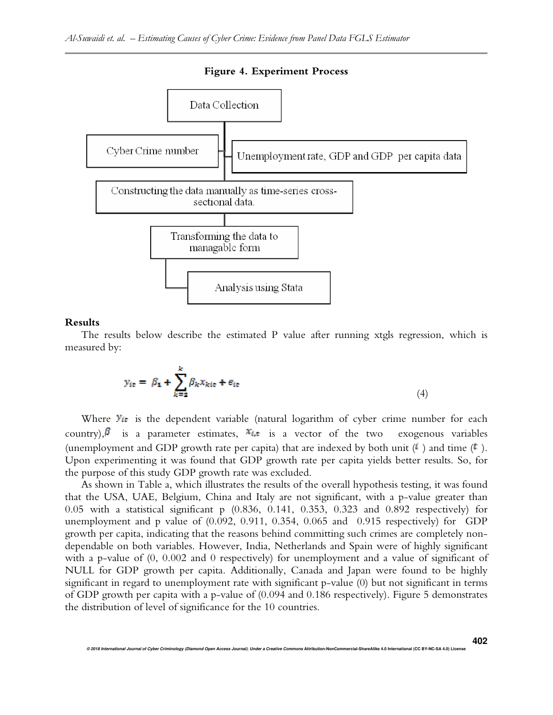



### **Results**

The results below describe the estimated P value after running xtgls regression, which is measured by:

$$
y_{it} = \beta_1 + \sum_{k=2}^{k} \beta_k x_{kit} + e_{it}
$$
\n<sup>(4)</sup>

Where  $\mathbf{y}_{it}$  is the dependent variable (natural logarithm of cyber crime number for each country),  $\beta$  is a parameter estimates,  $x_{i,t}$  is a vector of the two exogenous variables (unemployment and GDP growth rate per capita) that are indexed by both unit  $(\ell)$  and time  $(\ell)$ . Upon experimenting it was found that GDP growth rate per capita yields better results. So, for the purpose of this study GDP growth rate was excluded.

As shown in Table a, which illustrates the results of the overall hypothesis testing, it was found that the USA, UAE, Belgium, China and Italy are not significant, with a p-value greater than 0.05 with a statistical significant p (0.836, 0.141, 0.353, 0.323 and 0.892 respectively) for unemployment and p value of (0.092, 0.911, 0.354, 0.065 and 0.915 respectively) for GDP growth per capita, indicating that the reasons behind committing such crimes are completely nondependable on both variables. However, India, Netherlands and Spain were of highly significant with a p-value of (0, 0.002 and 0 respectively) for unemployment and a value of significant of NULL for GDP growth per capita. Additionally, Canada and Japan were found to be highly significant in regard to unemployment rate with significant p-value (0) but not significant in terms of GDP growth per capita with a p-value of (0.094 and 0.186 respectively). Figure 5 demonstrates the distribution of level of significance for the 10 countries.

**402**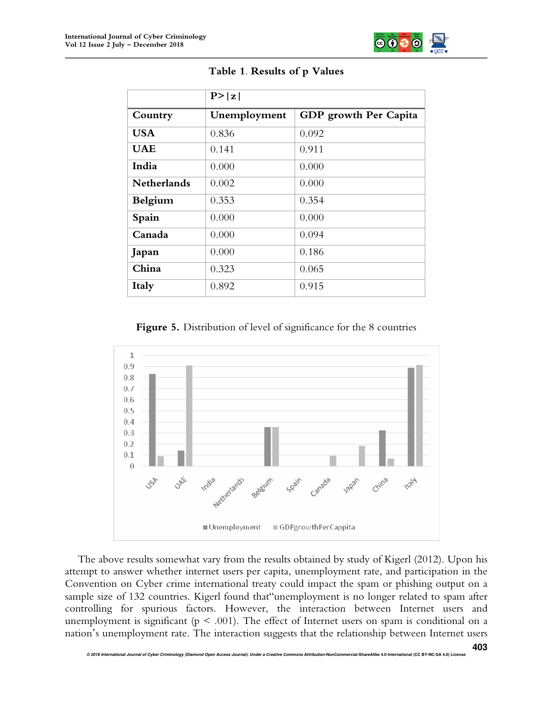

**403**

|                    | P >  z       |                       |  |
|--------------------|--------------|-----------------------|--|
| Country            | Unemployment | GDP growth Per Capita |  |
| <b>USA</b>         | 0.836        | 0.092                 |  |
| <b>UAE</b>         | 0.141        | 0.911                 |  |
| India              | 0.000        | 0.000                 |  |
| <b>Netherlands</b> | 0.002        | 0.000                 |  |
| Belgium            | 0.353        | 0.354                 |  |
| Spain              | 0.000        | 0.000                 |  |
| Canada             | 0.000        | 0.094                 |  |
| Japan              | 0.000        | 0.186                 |  |
| China              | 0.323        | 0.065                 |  |
| Italy              | 0.892        | 0.915                 |  |

# **Table 1**. **Results of p Values**

Figure 5. Distribution of level of significance for the 8 countries



The above results somewhat vary from the results obtained by study of Kigerl (2012). Upon his attempt to answer whether internet users per capita, unemployment rate, and participation in the Convention on Cyber crime international treaty could impact the spam or phishing output on a sample size of 132 countries. Kigerl found that"unemployment is no longer related to spam after controlling for spurious factors. However, the interaction between Internet users and unemployment is significant ( $p < .001$ ). The effect of Internet users on spam is conditional on a nation's unemployment rate. The interaction suggests that the relationship between Internet users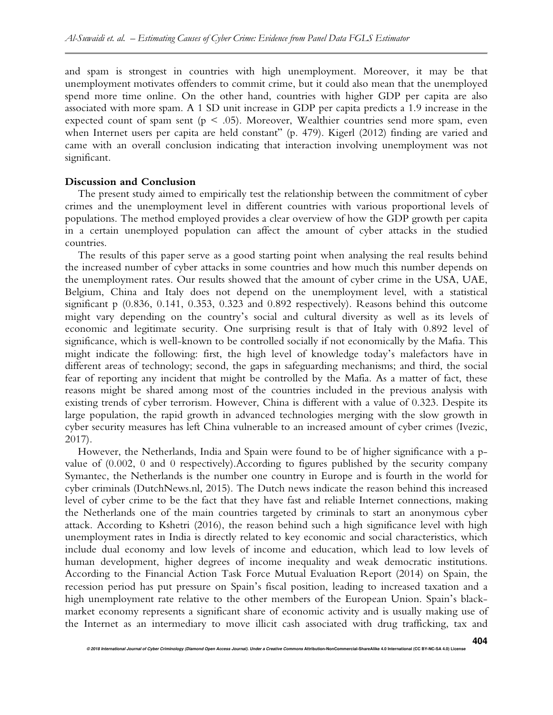and spam is strongest in countries with high unemployment. Moreover, it may be that unemployment motivates offenders to commit crime, but it could also mean that the unemployed spend more time online. On the other hand, countries with higher GDP per capita are also associated with more spam. A 1 SD unit increase in GDP per capita predicts a 1.9 increase in the expected count of spam sent ( $p < .05$ ). Moreover, Wealthier countries send more spam, even when Internet users per capita are held constant" (p. 479). Kigerl (2012) finding are varied and came with an overall conclusion indicating that interaction involving unemployment was not significant.

### **Discussion and Conclusion**

The present study aimed to empirically test the relationship between the commitment of cyber crimes and the unemployment level in different countries with various proportional levels of populations. The method employed provides a clear overview of how the GDP growth per capita in a certain unemployed population can affect the amount of cyber attacks in the studied countries.

The results of this paper serve as a good starting point when analysing the real results behind the increased number of cyber attacks in some countries and how much this number depends on the unemployment rates. Our results showed that the amount of cyber crime in the USA, UAE, Belgium, China and Italy does not depend on the unemployment level, with a statistical significant p (0.836, 0.141, 0.353, 0.323 and 0.892 respectively). Reasons behind this outcome might vary depending on the country's social and cultural diversity as well as its levels of economic and legitimate security. One surprising result is that of Italy with 0.892 level of significance, which is well-known to be controlled socially if not economically by the Mafia. This might indicate the following: first, the high level of knowledge today's malefactors have in different areas of technology; second, the gaps in safeguarding mechanisms; and third, the social fear of reporting any incident that might be controlled by the Mafia. As a matter of fact, these reasons might be shared among most of the countries included in the previous analysis with existing trends of cyber terrorism. However, China is different with a value of 0.323. Despite its large population, the rapid growth in advanced technologies merging with the slow growth in cyber security measures has left China vulnerable to an increased amount of cyber crimes (Ivezic, 2017).

However, the Netherlands, India and Spain were found to be of higher significance with a pvalue of (0.002, 0 and 0 respectively).According to figures published by the security company Symantec, the Netherlands is the number one country in Europe and is fourth in the world for cyber criminals (DutchNews.nl, 2015). The Dutch news indicate the reason behind this increased level of cyber crime to be the fact that they have fast and reliable Internet connections, making the Netherlands one of the main countries targeted by criminals to start an anonymous cyber attack. According to Kshetri (2016), the reason behind such a high significance level with high unemployment rates in India is directly related to key economic and social characteristics, which include dual economy and low levels of income and education, which lead to low levels of human development, higher degrees of income inequality and weak democratic institutions. According to the Financial Action Task Force Mutual Evaluation Report (2014) on Spain, the recession period has put pressure on Spain's fiscal position, leading to increased taxation and a high unemployment rate relative to the other members of the European Union. Spain's blackmarket economy represents a significant share of economic activity and is usually making use of the Internet as an intermediary to move illicit cash associated with drug trafficking, tax and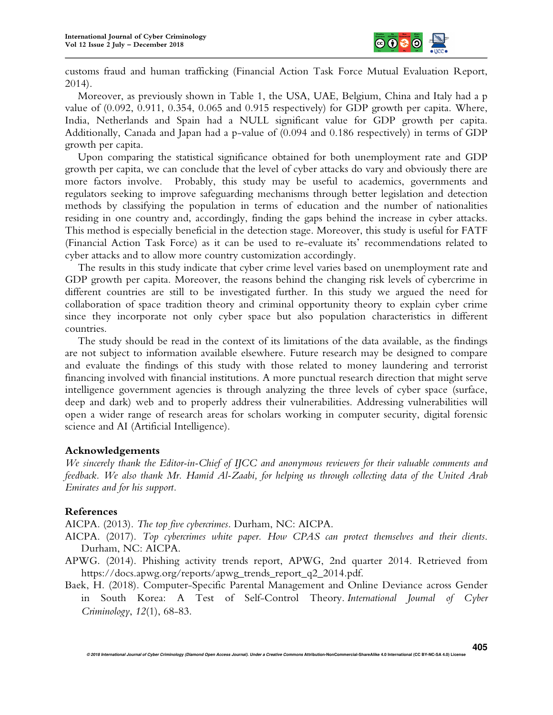

customs fraud and human trafficking (Financial Action Task Force Mutual Evaluation Report, 2014).

Moreover, as previously shown in Table 1, the USA, UAE, Belgium, China and Italy had a p value of (0.092, 0.911, 0.354, 0.065 and 0.915 respectively) for GDP growth per capita. Where, India, Netherlands and Spain had a NULL significant value for GDP growth per capita. Additionally, Canada and Japan had a p-value of (0.094 and 0.186 respectively) in terms of GDP growth per capita.

Upon comparing the statistical significance obtained for both unemployment rate and GDP growth per capita, we can conclude that the level of cyber attacks do vary and obviously there are more factors involve. Probably, this study may be useful to academics, governments and regulators seeking to improve safeguarding mechanisms through better legislation and detection methods by classifying the population in terms of education and the number of nationalities residing in one country and, accordingly, finding the gaps behind the increase in cyber attacks. This method is especially beneficial in the detection stage. Moreover, this study is useful for FATF (Financial Action Task Force) as it can be used to re-evaluate its' recommendations related to cyber attacks and to allow more country customization accordingly.

The results in this study indicate that cyber crime level varies based on unemployment rate and GDP growth per capita. Moreover, the reasons behind the changing risk levels of cybercrime in different countries are still to be investigated further. In this study we argued the need for collaboration of space tradition theory and criminal opportunity theory to explain cyber crime since they incorporate not only cyber space but also population characteristics in different countries.

The study should be read in the context of its limitations of the data available, as the findings are not subject to information available elsewhere. Future research may be designed to compare and evaluate the findings of this study with those related to money laundering and terrorist financing involved with financial institutions. A more punctual research direction that might serve intelligence government agencies is through analyzing the three levels of cyber space (surface, deep and dark) web and to properly address their vulnerabilities. Addressing vulnerabilities will open a wider range of research areas for scholars working in computer security, digital forensic science and AI (Artificial Intelligence).

### **Acknowledgements**

*We sincerely thank the Editor-in-Chief of IJCC and anonymous reviewers for their valuable comments and feedback. We also thank Mr. Hamid Al-Zaabi, for helping us through collecting data of the United Arab Emirates and for his support.* 

# **References**

AICPA. (2013). *The top five cybercrimes*. Durham, NC: AICPA.

AICPA. (2017). *Top cybercrimes white paper. How CPAS can protect themselves and their clients*. Durham, NC: AICPA.

APWG. (2014). Phishing activity trends report, APWG, 2nd quarter 2014. Retrieved from https://docs.apwg.org/reports/apwg\_trends\_report\_q2\_2014.pdf.

Baek, H. (2018). Computer-Specific Parental Management and Online Deviance across Gender in South Korea: A Test of Self-Control Theory. *International Journal of Cyber Criminology*, *12*(1), 68-83.

**© 2018 International Journal of Cyber Criminology (Diamond Open Access Journal). Under a Creative Commons Attribution-NonCommercial-ShareAlike 4.0 International (CC BY-NC-SA 4.0) License**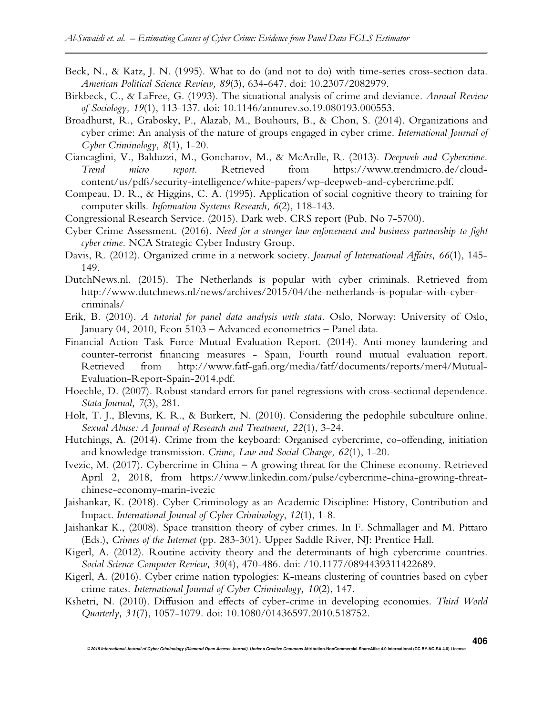- Beck, N., & Katz, J. N. (1995). What to do (and not to do) with time-series cross-section data. *American Political Science Review, 89*(3), 634-647. doi: 10.2307/2082979.
- Birkbeck, C., & LaFree, G. (1993). The situational analysis of crime and deviance. *Annual Review of Sociology, 19*(1), 113-137. doi: 10.1146/annurev.so.19.080193.000553.
- Broadhurst, R., Grabosky, P., Alazab, M., Bouhours, B., & Chon, S. (2014). Organizations and cyber crime: An analysis of the nature of groups engaged in cyber crime. *International Journal of Cyber Criminology, 8*(1), 1-20.
- Ciancaglini, V., Balduzzi, M., Goncharov, M., & McArdle, R. (2013). *Deepweb and Cybercrime. Trend micro report*. Retrieved from https://www.trendmicro.de/cloudcontent/us/pdfs/security-intelligence/white-papers/wp-deepweb-and-cybercrime.pdf.
- Compeau, D. R., & Higgins, C. A. (1995). Application of social cognitive theory to training for computer skills. *Information Systems Research, 6*(2), 118-143.
- Congressional Research Service. (2015). Dark web. CRS report (Pub. No 7-5700).
- Cyber Crime Assessment. (2016). *Need for a stronger law enforcement and business partnership to fight cyber crime.* NCA Strategic Cyber Industry Group.
- Davis, R. (2012). Organized crime in a network society. *Journal of International Affairs, 66*(1), 145- 149.
- DutchNews.nl. (2015). The Netherlands is popular with cyber criminals. Retrieved from http://www.dutchnews.nl/news/archives/2015/04/the-netherlands-is-popular-with-cybercriminals/
- Erik, B. (2010). *A tutorial for panel data analysis with stata.* Oslo, Norway: University of Oslo, January 04, 2010, Econ 5103 – Advanced econometrics – Panel data.
- Financial Action Task Force Mutual Evaluation Report. (2014). Anti-money laundering and counter-terrorist financing measures - Spain, Fourth round mutual evaluation report. Retrieved from http://www.fatf-gafi.org/media/fatf/documents/reports/mer4/Mutual-Evaluation-Report-Spain-2014.pdf.
- Hoechle, D. (2007). Robust standard errors for panel regressions with cross-sectional dependence. *Stata Journal, 7*(3), 281.
- Holt, T. J., Blevins, K. R., & Burkert, N. (2010). Considering the pedophile subculture online. *Sexual Abuse: A Journal of Research and Treatment, 22*(1), 3-24.
- Hutchings, A. (2014). Crime from the keyboard: Organised cybercrime, co-offending, initiation and knowledge transmission. *Crime, Law and Social Change, 62*(1), 1-20.
- Ivezic, M. (2017). Cybercrime in China A growing threat for the Chinese economy. Retrieved April 2, 2018, from https://www.linkedin.com/pulse/cybercrime-china-growing-threatchinese-economy-marin-ivezic
- Jaishankar, K. (2018). Cyber Criminology as an Academic Discipline: History, Contribution and Impact. *International Journal of Cyber Criminology*, *12*(1), 1-8.
- Jaishankar K., (2008). Space transition theory of cyber crimes. In F. Schmallager and M. Pittaro (Eds.), *Crimes of the Internet* (pp. 283-301). Upper Saddle River, NJ: Prentice Hall.
- Kigerl, A. (2012). Routine activity theory and the determinants of high cybercrime countries. *Social Science Computer Review, 30*(4), 470-486. doi: /10.1177/0894439311422689.
- Kigerl, A. (2016). Cyber crime nation typologies: K-means clustering of countries based on cyber crime rates. *International Journal of Cyber Criminology, 10*(2), 147.
- Kshetri, N. (2010). Diffusion and effects of cyber-crime in developing economies. *Third World Quarterly, 31*(7), 1057-1079. doi: 10.1080/01436597.2010.518752.